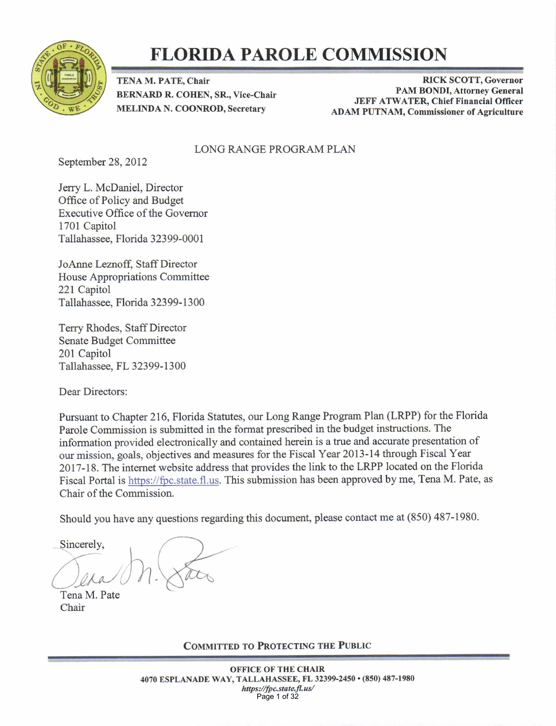

### FLORIDA PAROLE COMNISSION

TENA M. PATE, Chair BERNARD R. COHEN, SR., Vice-Chair MELINDA N. COONROD, Secretary

RICK SCOTT. Governor PAM BONDI, Attorney General JEFF ATWATER, Chief Financial Officer ADAM PUTNAM, Commissioner of Agriculture

#### LONG RANGE PROGRAM PLAN

September 28, 2012

Jerry L. McDaniel, Director Office of Policy and Budget Executive Office of the Govemor 1701 Capitol Tallahassee, Florida 32399-0001

JoAnne Leznoff, Staff Director House Appropriations Committee 221 Capitol Tallahassee. Florida 323 99- I 300

Terry Rhodes, Staff Director Senate Budget Committee 201 Capitol Tallahassee. FL 32399- I 300

Dear Directors:

Pursuant to Chapter 216, Florida Statutes, our Long Range Program Plan (LRPP) for the Florida Parole Commission is submitted in the fonnat prescribed in the budget instructions. The information provided electronically and contained herein is a true and accurate presentation of our mission, goals, objectives and measures for the Fiscal Year 2013-14 through Fiscal Year 2017-18. The intemet website address that provides the link to the LRPP located on the Florida Fiscal Portal is https://fpc.state.fl.us. This submission has been approved by me, Tena M. Pate, as Chair of the Commission.

Should you have any questions regarding this document, please contact me at (850) 487-1980.<br>Sincerely,<br>Tena M. Pate<br>Chair

COMMITTED TO PROTECTING THE PUBLIC

OFFICE OF THE CHAIR 4070 ESPLANADE WAY, TALLAHASSEE, FL 32399-2450 · (850) 487-1980 https://fpc.state.fl.us/ Page 1 of 32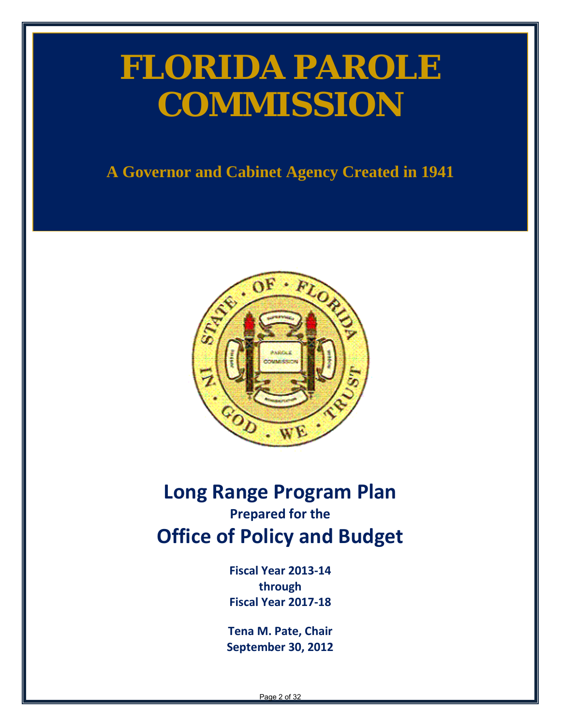# **FLORIDA PAROLE COMMISSION**

**A Governor and Cabinet Agency Created in 1941**



### <span id="page-1-0"></span>**Long Range Program Plan Prepared for the Office of Policy and Budget**

**Fiscal Year 2013-14 through Fiscal Year 2017-18** 

**Tena M. Pate, Chair September 30, 2012**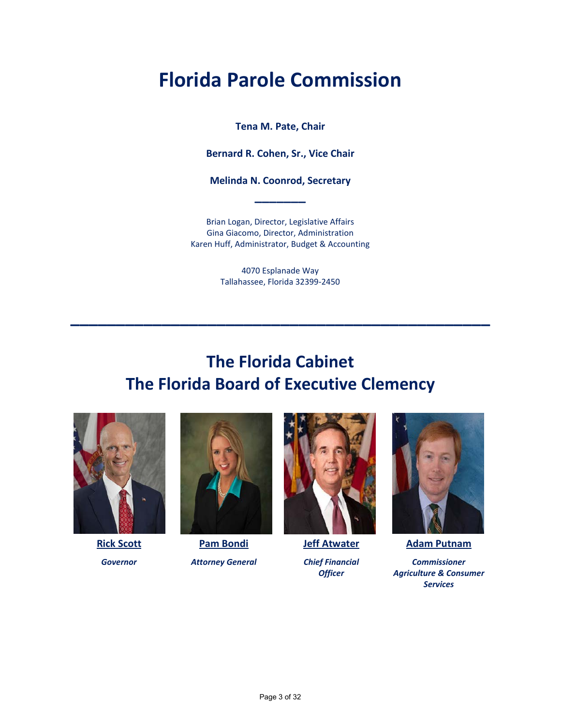# **Florida Parole Commission**

**Tena M. Pate, Chair**

**Bernard R. Cohen, Sr., Vice Chair**

**Melinda N. Coonrod, Secretary \_\_\_\_\_\_\_**

Brian Logan, Director, Legislative Affairs Gina Giacomo, Director, Administration Karen Huff, Administrator, Budget & Accounting

> 4070 Esplanade Way Tallahassee, Florida 32399-2450

**\_\_\_\_\_\_\_\_\_\_\_\_\_\_\_\_\_\_\_\_\_\_\_\_\_\_\_\_\_\_\_\_\_\_\_\_\_\_\_\_\_\_\_\_\_\_**

### **The Florida Cabinet The Florida Board of Executive Clemency**





**Rick Scott Pam Bondi Jeff Atwater Adam Putnam** *Governor Attorney General Chief Financial Commissioner*





*Officer Agriculture & Consumer Services*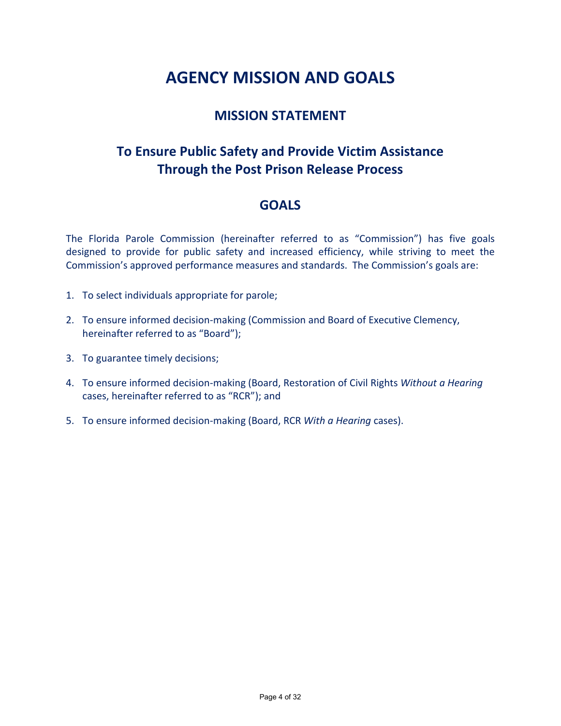### **AGENCY MISSION AND GOALS**

#### **MISSION STATEMENT**

### **To Ensure Public Safety and Provide Victim Assistance Through the Post Prison Release Process**

#### **GOALS**

The Florida Parole Commission (hereinafter referred to as "Commission") has five goals designed to provide for public safety and increased efficiency, while striving to meet the Commission's approved performance measures and standards. The Commission's goals are:

- 1. To select individuals appropriate for parole;
- 2. To ensure informed decision-making (Commission and Board of Executive Clemency, hereinafter referred to as "Board");
- 3. To guarantee timely decisions;
- 4. To ensure informed decision-making (Board, Restoration of Civil Rights *Without a Hearing* cases, hereinafter referred to as "RCR"); and
- 5. To ensure informed decision-making (Board, RCR *With a Hearing* cases).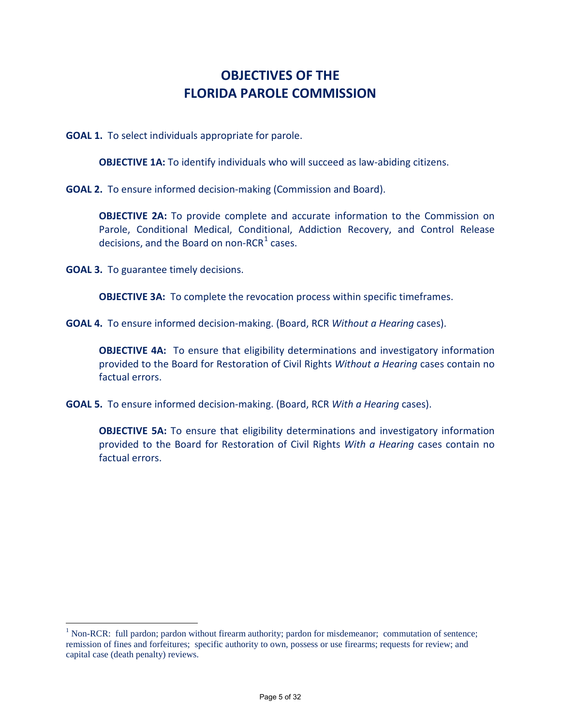### **OBJECTIVES OF THE FLORIDA PAROLE COMMISSION**

**GOAL 1.** To select individuals appropriate for parole.

**OBJECTIVE 1A:** To identify individuals who will succeed as law-abiding citizens.

**GOAL 2.** To ensure informed decision-making (Commission and Board).

**OBJECTIVE 2A:** To provide complete and accurate information to the Commission on Parole, Conditional Medical, Conditional, Addiction Recovery, and Control Release decisions, and the Board on non-RCR $1$  cases.

**GOAL 3.** To guarantee timely decisions.

 $\overline{a}$ 

**OBJECTIVE 3A:** To complete the revocation process within specific timeframes.

**GOAL 4.** To ensure informed decision-making. (Board, RCR *Without a Hearing* cases).

**OBJECTIVE 4A:** To ensure that eligibility determinations and investigatory information provided to the Board for Restoration of Civil Rights *Without a Hearing* cases contain no factual errors.

**GOAL 5.** To ensure informed decision-making. (Board, RCR *With a Hearing* cases).

**OBJECTIVE 5A:** To ensure that eligibility determinations and investigatory information provided to the Board for Restoration of Civil Rights *With a Hearing* cases contain no factual errors.

<sup>&</sup>lt;sup>1</sup> Non-RCR: full pardon; pardon without firearm authority; pardon for misdemeanor; commutation of sentence; remission of fines and forfeitures; specific authority to own, possess or use firearms; requests for review; and capital case (death penalty) reviews.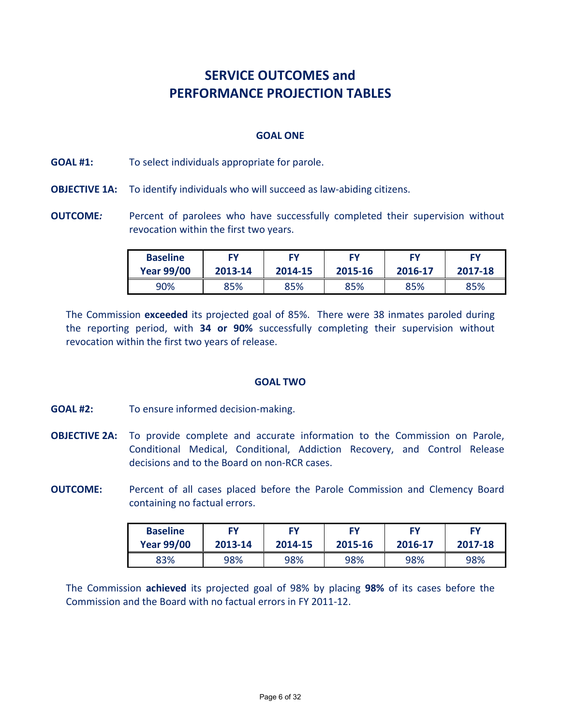### **SERVICE OUTCOMES and PERFORMANCE PROJECTION TABLES**

#### **GOAL ONE**

#### **GOAL #1:** To select individuals appropriate for parole.

- **OBJECTIVE 1A:** To identify individuals who will succeed as law-abiding citizens.
- **OUTCOME:** Percent of parolees who have successfully completed their supervision without revocation within the first two years.

| <b>Baseline</b>   | FΥ      | FΥ      | <b>FY</b> | FΥ      | FY      |
|-------------------|---------|---------|-----------|---------|---------|
| <b>Year 99/00</b> | 2013-14 | 2014-15 | 2015-16   | 2016-17 | 2017-18 |
| 90%               | 85%     | 85%     | 85%       | 85%     | 85%     |

The Commission **exceeded** its projected goal of 85%. There were 38 inmates paroled during the reporting period, with **34 or 90%** successfully completing their supervision without revocation within the first two years of release.

#### **GOAL TWO**

- **GOAL #2:** To ensure informed decision-making.
- **OBJECTIVE 2A:** To provide complete and accurate information to the Commission on Parole, Conditional Medical, Conditional, Addiction Recovery, and Control Release decisions and to the Board on non-RCR cases.
- **OUTCOME:** Percent of all cases placed before the Parole Commission and Clemency Board containing no factual errors.

| <b>Baseline</b>   | <b>FY</b> | <b>FY</b> | FΥ      | FΥ      | FΥ      |
|-------------------|-----------|-----------|---------|---------|---------|
| <b>Year 99/00</b> | 2013-14   | 2014-15   | 2015-16 | 2016-17 | 2017-18 |
| 83%               | 98%       | 98%       | 98%     | 98%     | 98%     |

The Commission **achieved** its projected goal of 98% by placing **98%** of its cases before the Commission and the Board with no factual errors in FY 2011-12.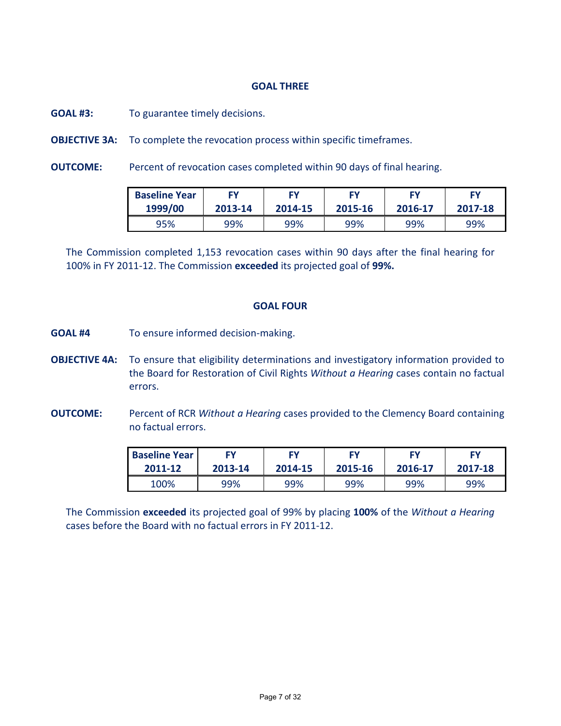#### **GOAL THREE**

**GOAL #3:** To guarantee timely decisions.

**OBJECTIVE 3A:** To complete the revocation process within specific timeframes.

**OUTCOME:** Percent of revocation cases completed within 90 days of final hearing.

| <b>Baseline Year</b> | Fν      | FΥ      | FΥ      | FΥ      | FΥ      |
|----------------------|---------|---------|---------|---------|---------|
| 1999/00              | 2013-14 | 2014-15 | 2015-16 | 2016-17 | 2017-18 |
| 95%                  | 99%     | 99%     | 99%     | 99%     | 99%     |

The Commission completed 1,153 revocation cases within 90 days after the final hearing for 100% in FY 2011-12. The Commission **exceeded** its projected goal of **99%.**

#### **GOAL FOUR**

- **GOAL #4** To ensure informed decision-making.
- **OBJECTIVE 4A:** To ensure that eligibility determinations and investigatory information provided to the Board for Restoration of Civil Rights *Without a Hearing* cases contain no factual errors.
- **OUTCOME:** Percent of RCR *Without a Hearing* cases provided to the Clemency Board containing no factual errors.

| <b>Baseline Year</b> | FΥ      | FY      | FΥ      | FΥ      | FΥ      |
|----------------------|---------|---------|---------|---------|---------|
| 2011-12              | 2013-14 | 2014-15 | 2015-16 | 2016-17 | 2017-18 |
| 100%                 | 99%     | 99%     | 99%     | 99%     | 99%     |

The Commission **exceeded** its projected goal of 99% by placing **100%** of the *Without a Hearing* cases before the Board with no factual errors in FY 2011-12.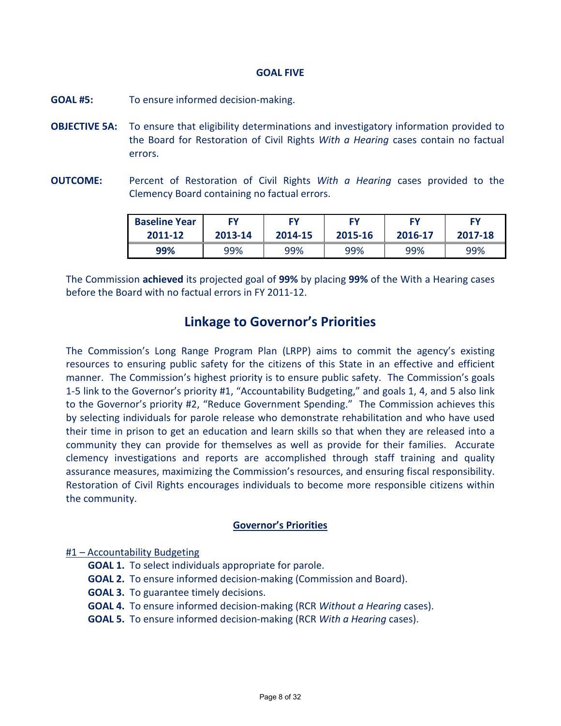#### **GOAL FIVE**

- **GOAL #5:** To ensure informed decision-making.
- **OBJECTIVE 5A:** To ensure that eligibility determinations and investigatory information provided to the Board for Restoration of Civil Rights *With a Hearing* cases contain no factual errors.
- **OUTCOME:** Percent of Restoration of Civil Rights *With a Hearing* cases provided to the Clemency Board containing no factual errors.

| <b>Baseline Year</b> | ΕV      | ΕV      | FΥ      | FΥ      | FΥ      |
|----------------------|---------|---------|---------|---------|---------|
| 2011-12              | 2013-14 | 2014-15 | 2015-16 | 2016-17 | 2017-18 |
| 99%                  | 99%     | 99%     | 99%     | 99%     | 99%     |

The Commission **achieved** its projected goal of **99%** by placing **99%** of the With a Hearing cases before the Board with no factual errors in FY 2011-12.

#### **Linkage to Governor's Priorities**

The Commission's Long Range Program Plan (LRPP) aims to commit the agency's existing resources to ensuring public safety for the citizens of this State in an effective and efficient manner. The Commission's highest priority is to ensure public safety. The Commission's goals 1-5 link to the Governor's priority #1, "Accountability Budgeting," and goals 1, 4, and 5 also link to the Governor's priority #2, "Reduce Government Spending." The Commission achieves this by selecting individuals for parole release who demonstrate rehabilitation and who have used their time in prison to get an education and learn skills so that when they are released into a community they can provide for themselves as well as provide for their families. Accurate clemency investigations and reports are accomplished through staff training and quality assurance measures, maximizing the Commission's resources, and ensuring fiscal responsibility. Restoration of Civil Rights encourages individuals to become more responsible citizens within the community.

#### **Governor's Priorities**

#### #1 – Accountability Budgeting

- **GOAL 1.** To select individuals appropriate for parole.
- **GOAL 2.** To ensure informed decision-making (Commission and Board).
- **GOAL 3.** To guarantee timely decisions.
- **GOAL 4.** To ensure informed decision-making (RCR *Without a Hearing* cases).
- **GOAL 5.** To ensure informed decision-making (RCR *With a Hearing* cases).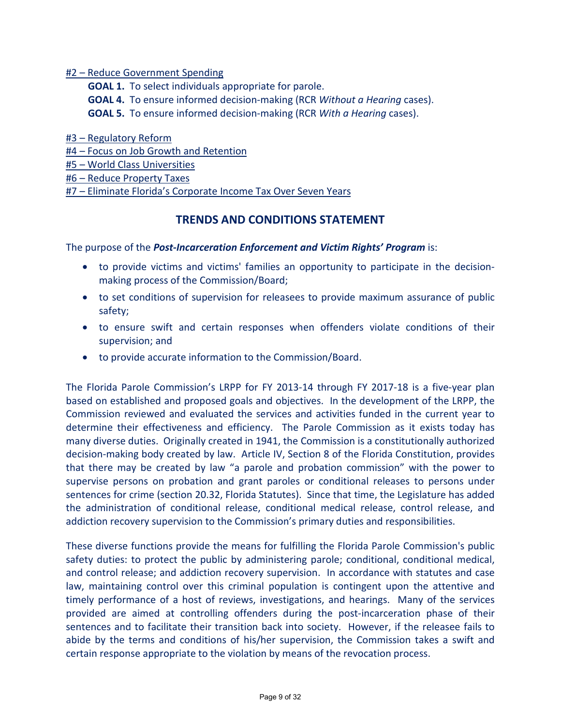#2 – Reduce Government Spending

**GOAL 1.** To select individuals appropriate for parole. **GOAL 4.** To ensure informed decision-making (RCR *Without a Hearing* cases). **GOAL 5.** To ensure informed decision-making (RCR *With a Hearing* cases).

#3 – Regulatory Reform

#4 – Focus on Job Growth and Retention

#5 – World Class Universities

#6 – Reduce Property Taxes

#7 – Eliminate Florida's Corporate Income Tax Over Seven Years

#### **TRENDS AND CONDITIONS STATEMENT**

The purpose of the *Post-Incarceration Enforcement and Victim Rights' Program* is:

- to provide victims and victims' families an opportunity to participate in the decisionmaking process of the Commission/Board;
- to set conditions of supervision for releasees to provide maximum assurance of public safety;
- to ensure swift and certain responses when offenders violate conditions of their supervision; and
- to provide accurate information to the Commission/Board.

The Florida Parole Commission's LRPP for FY 2013-14 through FY 2017-18 is a five-year plan based on established and proposed goals and objectives. In the development of the LRPP, the Commission reviewed and evaluated the services and activities funded in the current year to determine their effectiveness and efficiency. The Parole Commission as it exists today has many diverse duties. Originally created in 1941, the Commission is a constitutionally authorized decision-making body created by law. Article IV, Section 8 of the Florida Constitution, provides that there may be created by law "a parole and probation commission" with the power to supervise persons on probation and grant paroles or conditional releases to persons under sentences for crime (section 20.32, Florida Statutes). Since that time, the Legislature has added the administration of conditional release, conditional medical release, control release, and addiction recovery supervision to the Commission's primary duties and responsibilities.

These diverse functions provide the means for fulfilling the Florida Parole Commission's public safety duties: to protect the public by administering parole; conditional, conditional medical, and control release; and addiction recovery supervision. In accordance with statutes and case law, maintaining control over this criminal population is contingent upon the attentive and timely performance of a host of reviews, investigations, and hearings. Many of the services provided are aimed at controlling offenders during the post-incarceration phase of their sentences and to facilitate their transition back into society. However, if the releasee fails to abide by the terms and conditions of his/her supervision, the Commission takes a swift and certain response appropriate to the violation by means of the revocation process.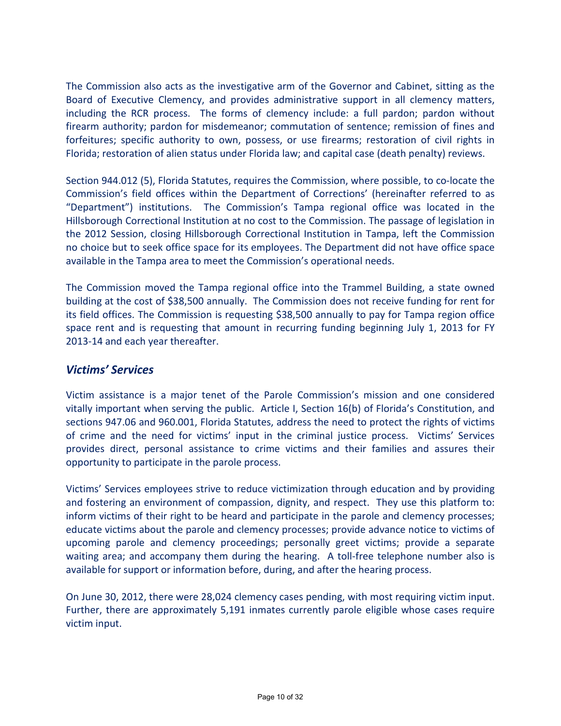The Commission also acts as the investigative arm of the Governor and Cabinet, sitting as the Board of Executive Clemency, and provides administrative support in all clemency matters, including the RCR process. The forms of clemency include: a full pardon; pardon without firearm authority; pardon for misdemeanor; commutation of sentence; remission of fines and forfeitures; specific authority to own, possess, or use firearms; restoration of civil rights in Florida; restoration of alien status under Florida law; and capital case (death penalty) reviews.

Section 944.012 (5), Florida Statutes, requires the Commission, where possible, to co-locate the Commission's field offices within the Department of Corrections' (hereinafter referred to as "Department") institutions. The Commission's Tampa regional office was located in the Hillsborough Correctional Institution at no cost to the Commission. The passage of legislation in the 2012 Session, closing Hillsborough Correctional Institution in Tampa, left the Commission no choice but to seek office space for its employees. The Department did not have office space available in the Tampa area to meet the Commission's operational needs.

The Commission moved the Tampa regional office into the Trammel Building, a state owned building at the cost of \$38,500 annually. The Commission does not receive funding for rent for its field offices. The Commission is requesting \$38,500 annually to pay for Tampa region office space rent and is requesting that amount in recurring funding beginning July 1, 2013 for FY 2013-14 and each year thereafter.

#### *Victims' Services*

Victim assistance is a major tenet of the Parole Commission's mission and one considered vitally important when serving the public. Article I, Section 16(b) of Florida's Constitution, and sections 947.06 and 960.001, Florida Statutes, address the need to protect the rights of victims of crime and the need for victims' input in the criminal justice process. Victims' Services provides direct, personal assistance to crime victims and their families and assures their opportunity to participate in the parole process.

Victims' Services employees strive to reduce victimization through education and by providing and fostering an environment of compassion, dignity, and respect. They use this platform to: inform victims of their right to be heard and participate in the parole and clemency processes; educate victims about the parole and clemency processes; provide advance notice to victims of upcoming parole and clemency proceedings; personally greet victims; provide a separate waiting area; and accompany them during the hearing. A toll-free telephone number also is available for support or information before, during, and after the hearing process.

On June 30, 2012, there were 28,024 clemency cases pending, with most requiring victim input. Further, there are approximately 5,191 inmates currently parole eligible whose cases require victim input.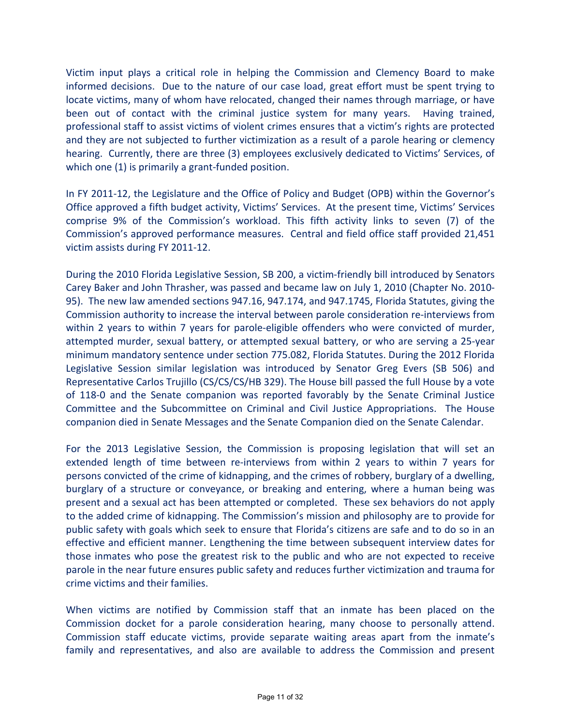Victim input plays a critical role in helping the Commission and Clemency Board to make informed decisions. Due to the nature of our case load, great effort must be spent trying to locate victims, many of whom have relocated, changed their names through marriage, or have been out of contact with the criminal justice system for many years. Having trained, professional staff to assist victims of violent crimes ensures that a victim's rights are protected and they are not subjected to further victimization as a result of a parole hearing or clemency hearing. Currently, there are three (3) employees exclusively dedicated to Victims' Services, of which one (1) is primarily a grant-funded position.

In FY 2011-12, the Legislature and the Office of Policy and Budget (OPB) within the Governor's Office approved a fifth budget activity, Victims' Services. At the present time, Victims' Services comprise 9% of the Commission's workload. This fifth activity links to seven (7) of the Commission's approved performance measures. Central and field office staff provided 21,451 victim assists during FY 2011-12.

During the 2010 Florida Legislative Session, SB 200, a victim-friendly bill introduced by Senators Carey Baker and John Thrasher, was passed and became law on July 1, 2010 (Chapter No. 2010- 95). The new law amended sections 947.16, 947.174, and 947.1745, Florida Statutes, giving the Commission authority to increase the interval between parole consideration re-interviews from within 2 years to within 7 years for parole-eligible offenders who were convicted of murder, attempted murder, sexual battery, or attempted sexual battery, or who are serving a 25-year minimum mandatory sentence under section 775.082, Florida Statutes. During the 2012 Florida Legislative Session similar legislation was introduced by Senator Greg Evers (SB 506) and Representative Carlos Trujillo (CS/CS/CS/HB 329). The House bill passed the full House by a vote of 118-0 and the Senate companion was reported favorably by the Senate Criminal Justice Committee and the Subcommittee on Criminal and Civil Justice Appropriations. The House companion died in Senate Messages and the Senate Companion died on the Senate Calendar.

For the 2013 Legislative Session, the Commission is proposing legislation that will set an extended length of time between re-interviews from within 2 years to within 7 years for persons convicted of the crime of kidnapping, and the crimes of robbery, burglary of a dwelling, burglary of a structure or conveyance, or breaking and entering, where a human being was present and a sexual act has been attempted or completed. These sex behaviors do not apply to the added crime of kidnapping. The Commission's mission and philosophy are to provide for public safety with goals which seek to ensure that Florida's citizens are safe and to do so in an effective and efficient manner. Lengthening the time between subsequent interview dates for those inmates who pose the greatest risk to the public and who are not expected to receive parole in the near future ensures public safety and reduces further victimization and trauma for crime victims and their families.

When victims are notified by Commission staff that an inmate has been placed on the Commission docket for a parole consideration hearing, many choose to personally attend. Commission staff educate victims, provide separate waiting areas apart from the inmate's family and representatives, and also are available to address the Commission and present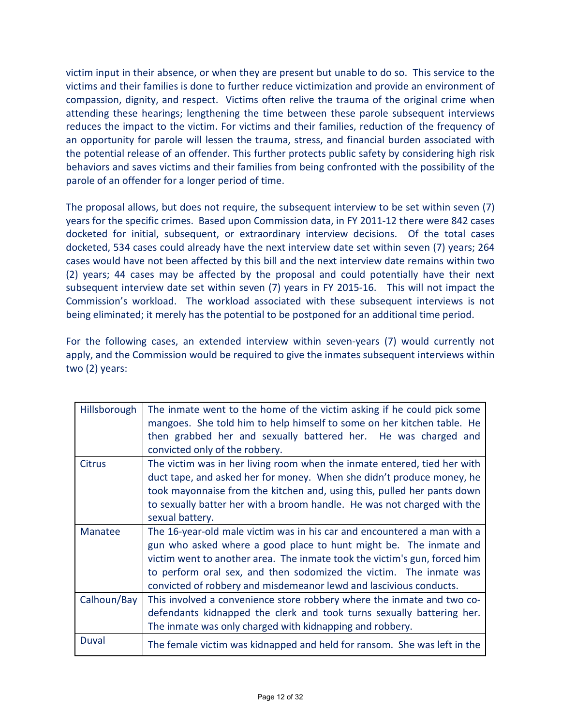victim input in their absence, or when they are present but unable to do so. This service to the victims and their families is done to further reduce victimization and provide an environment of compassion, dignity, and respect. Victims often relive the trauma of the original crime when attending these hearings; lengthening the time between these parole subsequent interviews reduces the impact to the victim. For victims and their families, reduction of the frequency of an opportunity for parole will lessen the trauma, stress, and financial burden associated with the potential release of an offender. This further protects public safety by considering high risk behaviors and saves victims and their families from being confronted with the possibility of the parole of an offender for a longer period of time.

The proposal allows, but does not require, the subsequent interview to be set within seven (7) years for the specific crimes. Based upon Commission data, in FY 2011-12 there were 842 cases docketed for initial, subsequent, or extraordinary interview decisions. Of the total cases docketed, 534 cases could already have the next interview date set within seven (7) years; 264 cases would have not been affected by this bill and the next interview date remains within two (2) years; 44 cases may be affected by the proposal and could potentially have their next subsequent interview date set within seven (7) years in FY 2015-16. This will not impact the Commission's workload. The workload associated with these subsequent interviews is not being eliminated; it merely has the potential to be postponed for an additional time period.

For the following cases, an extended interview within seven-years (7) would currently not apply, and the Commission would be required to give the inmates subsequent interviews within two (2) years:

| Hillsborough  | The inmate went to the home of the victim asking if he could pick some<br>mangoes. She told him to help himself to some on her kitchen table. He<br>then grabbed her and sexually battered her. He was charged and<br>convicted only of the robbery.                                                                                                                  |
|---------------|-----------------------------------------------------------------------------------------------------------------------------------------------------------------------------------------------------------------------------------------------------------------------------------------------------------------------------------------------------------------------|
| <b>Citrus</b> | The victim was in her living room when the inmate entered, tied her with<br>duct tape, and asked her for money. When she didn't produce money, he<br>took mayonnaise from the kitchen and, using this, pulled her pants down<br>to sexually batter her with a broom handle. He was not charged with the<br>sexual battery.                                            |
| Manatee       | The 16-year-old male victim was in his car and encountered a man with a<br>gun who asked where a good place to hunt might be. The inmate and<br>victim went to another area. The inmate took the victim's gun, forced him<br>to perform oral sex, and then sodomized the victim. The inmate was<br>convicted of robbery and misdemeanor lewd and lascivious conducts. |
| Calhoun/Bay   | This involved a convenience store robbery where the inmate and two co-<br>defendants kidnapped the clerk and took turns sexually battering her.<br>The inmate was only charged with kidnapping and robbery.                                                                                                                                                           |
| Duval         | The female victim was kidnapped and held for ransom. She was left in the                                                                                                                                                                                                                                                                                              |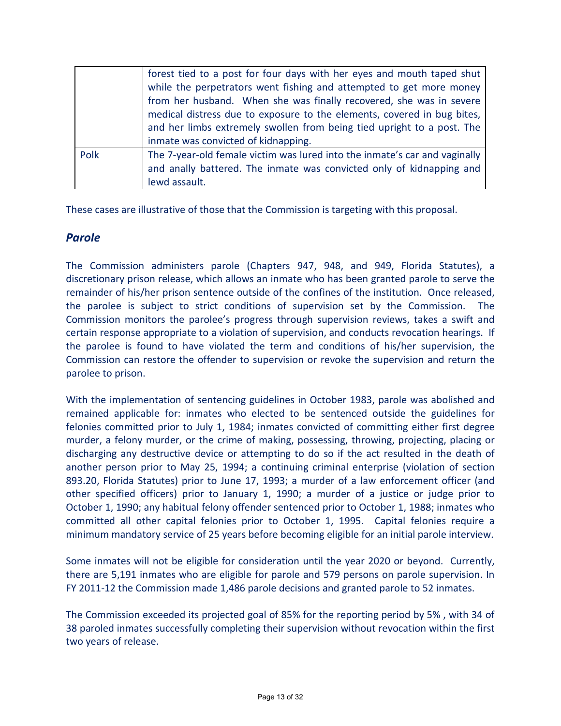|      | forest tied to a post for four days with her eyes and mouth taped shut     |
|------|----------------------------------------------------------------------------|
|      | while the perpetrators went fishing and attempted to get more money        |
|      | from her husband. When she was finally recovered, she was in severe        |
|      | medical distress due to exposure to the elements, covered in bug bites,    |
|      | and her limbs extremely swollen from being tied upright to a post. The     |
|      | inmate was convicted of kidnapping.                                        |
| Polk | The 7-year-old female victim was lured into the inmate's car and vaginally |
|      | and anally battered. The inmate was convicted only of kidnapping and       |
|      | lewd assault.                                                              |

These cases are illustrative of those that the Commission is targeting with this proposal.

#### *Parole*

The Commission administers parole (Chapters 947, 948, and 949, Florida Statutes), a discretionary prison release, which allows an inmate who has been granted parole to serve the remainder of his/her prison sentence outside of the confines of the institution. Once released, the parolee is subject to strict conditions of supervision set by the Commission. The Commission monitors the parolee's progress through supervision reviews, takes a swift and certain response appropriate to a violation of supervision, and conducts revocation hearings. If the parolee is found to have violated the term and conditions of his/her supervision, the Commission can restore the offender to supervision or revoke the supervision and return the parolee to prison.

With the implementation of sentencing guidelines in October 1983, parole was abolished and remained applicable for: inmates who elected to be sentenced outside the guidelines for felonies committed prior to July 1, 1984; inmates convicted of committing either first degree murder, a felony murder, or the crime of making, possessing, throwing, projecting, placing or discharging any destructive device or attempting to do so if the act resulted in the death of another person prior to May 25, 1994; a continuing criminal enterprise (violation of section 893.20, Florida Statutes) prior to June 17, 1993; a murder of a law enforcement officer (and other specified officers) prior to January 1, 1990; a murder of a justice or judge prior to October 1, 1990; any habitual felony offender sentenced prior to October 1, 1988; inmates who committed all other capital felonies prior to October 1, 1995. Capital felonies require a minimum mandatory service of 25 years before becoming eligible for an initial parole interview.

Some inmates will not be eligible for consideration until the year 2020 or beyond. Currently, there are 5,191 inmates who are eligible for parole and 579 persons on parole supervision. In FY 2011-12 the Commission made 1,486 parole decisions and granted parole to 52 inmates.

The Commission exceeded its projected goal of 85% for the reporting period by 5% , with 34 of 38 paroled inmates successfully completing their supervision without revocation within the first two years of release.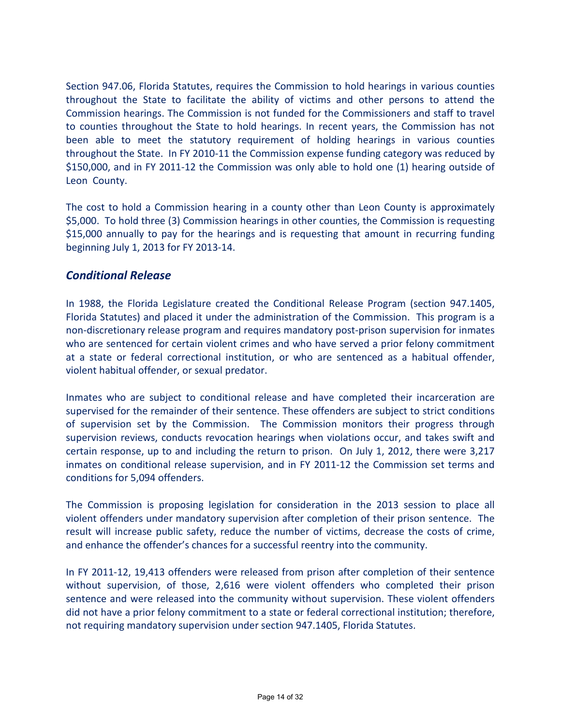Section 947.06, Florida Statutes, requires the Commission to hold hearings in various counties throughout the State to facilitate the ability of victims and other persons to attend the Commission hearings. The Commission is not funded for the Commissioners and staff to travel to counties throughout the State to hold hearings. In recent years, the Commission has not been able to meet the statutory requirement of holding hearings in various counties throughout the State. In FY 2010-11 the Commission expense funding category was reduced by \$150,000, and in FY 2011-12 the Commission was only able to hold one (1) hearing outside of Leon County.

The cost to hold a Commission hearing in a county other than Leon County is approximately \$5,000. To hold three (3) Commission hearings in other counties, the Commission is requesting \$15,000 annually to pay for the hearings and is requesting that amount in recurring funding beginning July 1, 2013 for FY 2013-14.

#### *Conditional Release*

In 1988, the Florida Legislature created the Conditional Release Program (section 947.1405, Florida Statutes) and placed it under the administration of the Commission. This program is a non-discretionary release program and requires mandatory post-prison supervision for inmates who are sentenced for certain violent crimes and who have served a prior felony commitment at a state or federal correctional institution, or who are sentenced as a habitual offender, violent habitual offender, or sexual predator.

Inmates who are subject to conditional release and have completed their incarceration are supervised for the remainder of their sentence. These offenders are subject to strict conditions of supervision set by the Commission. The Commission monitors their progress through supervision reviews, conducts revocation hearings when violations occur, and takes swift and certain response, up to and including the return to prison. On July 1, 2012, there were 3,217 inmates on conditional release supervision, and in FY 2011-12 the Commission set terms and conditions for 5,094 offenders.

The Commission is proposing legislation for consideration in the 2013 session to place all violent offenders under mandatory supervision after completion of their prison sentence. The result will increase public safety, reduce the number of victims, decrease the costs of crime, and enhance the offender's chances for a successful reentry into the community.

In FY 2011-12, 19,413 offenders were released from prison after completion of their sentence without supervision, of those, 2,616 were violent offenders who completed their prison sentence and were released into the community without supervision. These violent offenders did not have a prior felony commitment to a state or federal correctional institution; therefore, not requiring mandatory supervision under section 947.1405, Florida Statutes.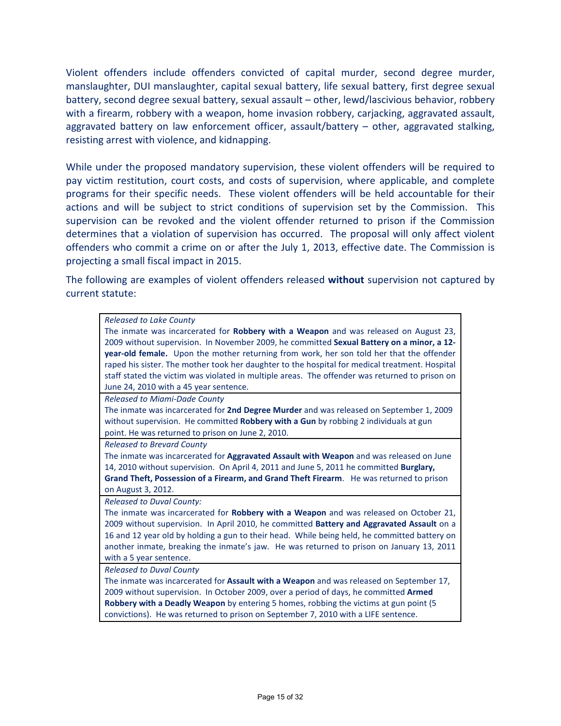Violent offenders include offenders convicted of capital murder, second degree murder, manslaughter, DUI manslaughter, capital sexual battery, life sexual battery, first degree sexual battery, second degree sexual battery, sexual assault – other, lewd/lascivious behavior, robbery with a firearm, robbery with a weapon, home invasion robbery, carjacking, aggravated assault, aggravated battery on law enforcement officer, assault/battery – other, aggravated stalking, resisting arrest with violence, and kidnapping.

While under the proposed mandatory supervision, these violent offenders will be required to pay victim restitution, court costs, and costs of supervision, where applicable, and complete programs for their specific needs. These violent offenders will be held accountable for their actions and will be subject to strict conditions of supervision set by the Commission. This supervision can be revoked and the violent offender returned to prison if the Commission determines that a violation of supervision has occurred. The proposal will only affect violent offenders who commit a crime on or after the July 1, 2013, effective date. The Commission is projecting a small fiscal impact in 2015.

The following are examples of violent offenders released **without** supervision not captured by current statute:

| Released to Lake County                                                                        |
|------------------------------------------------------------------------------------------------|
| The inmate was incarcerated for Robbery with a Weapon and was released on August 23,           |
| 2009 without supervision. In November 2009, he committed Sexual Battery on a minor, a 12-      |
| year-old female. Upon the mother returning from work, her son told her that the offender       |
| raped his sister. The mother took her daughter to the hospital for medical treatment. Hospital |
| staff stated the victim was violated in multiple areas. The offender was returned to prison on |
| June 24, 2010 with a 45 year sentence.                                                         |
| Released to Miami-Dade County                                                                  |
| The inmate was incarcerated for 2nd Degree Murder and was released on September 1, 2009        |
| without supervision. He committed Robbery with a Gun by robbing 2 individuals at gun           |
| point. He was returned to prison on June 2, 2010.                                              |
| <b>Released to Brevard County</b>                                                              |
| The inmate was incarcerated for Aggravated Assault with Weapon and was released on June        |
| 14, 2010 without supervision. On April 4, 2011 and June 5, 2011 he committed Burglary,         |
| Grand Theft, Possession of a Firearm, and Grand Theft Firearm. He was returned to prison       |
| on August 3, 2012.                                                                             |
| <b>Released to Duval County:</b>                                                               |
| The inmate was incarcerated for Robbery with a Weapon and was released on October 21,          |
| 2009 without supervision. In April 2010, he committed Battery and Aggravated Assault on a      |
| 16 and 12 year old by holding a gun to their head. While being held, he committed battery on   |
| another inmate, breaking the inmate's jaw. He was returned to prison on January 13, 2011       |
| with a 5 year sentence.                                                                        |
| Released to Duval County                                                                       |
| The inmate was incarcerated for Assault with a Weapon and was released on September 17,        |
| 2009 without supervision. In October 2009, over a period of days, he committed Armed           |
| Robbery with a Deadly Weapon by entering 5 homes, robbing the victims at gun point (5          |
| convictions). He was returned to prison on September 7, 2010 with a LIFE sentence.             |
|                                                                                                |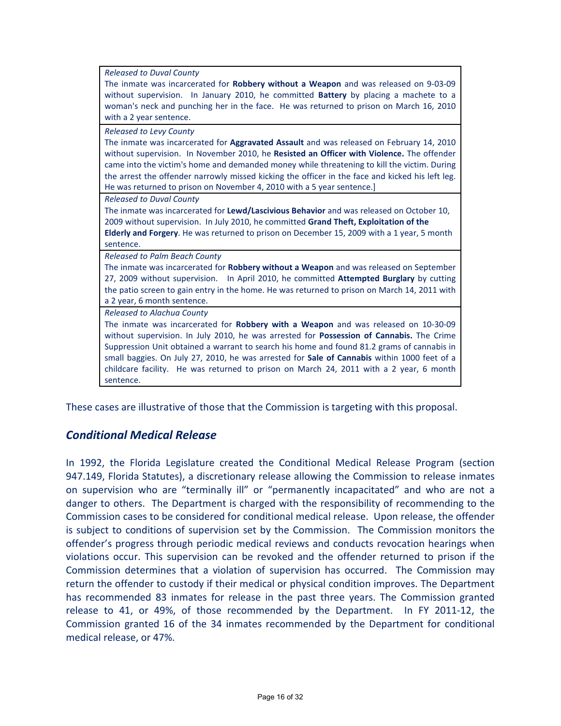| <b>Released to Duval County</b><br>The inmate was incarcerated for Robbery without a Weapon and was released on 9-03-09<br>without supervision. In January 2010, he committed Battery by placing a machete to a<br>woman's neck and punching her in the face. He was returned to prison on March 16, 2010<br>with a 2 year sentence.                                                                                                                                                                                    |
|-------------------------------------------------------------------------------------------------------------------------------------------------------------------------------------------------------------------------------------------------------------------------------------------------------------------------------------------------------------------------------------------------------------------------------------------------------------------------------------------------------------------------|
| <b>Released to Levy County</b><br>The inmate was incarcerated for Aggravated Assault and was released on February 14, 2010<br>without supervision. In November 2010, he Resisted an Officer with Violence. The offender<br>came into the victim's home and demanded money while threatening to kill the victim. During<br>the arrest the offender narrowly missed kicking the officer in the face and kicked his left leg.<br>He was returned to prison on November 4, 2010 with a 5 year sentence.                     |
| <b>Released to Duval County</b><br>The inmate was incarcerated for Lewd/Lascivious Behavior and was released on October 10,<br>2009 without supervision. In July 2010, he committed Grand Theft, Exploitation of the<br>Elderly and Forgery. He was returned to prison on December 15, 2009 with a 1 year, 5 month<br>sentence.                                                                                                                                                                                         |
| <b>Released to Palm Beach County</b><br>The inmate was incarcerated for Robbery without a Weapon and was released on September<br>27, 2009 without supervision. In April 2010, he committed Attempted Burglary by cutting<br>the patio screen to gain entry in the home. He was returned to prison on March 14, 2011 with<br>a 2 year, 6 month sentence.                                                                                                                                                                |
| Released to Alachua County<br>The inmate was incarcerated for <b>Robbery with a Weapon</b> and was released on 10-30-09<br>without supervision. In July 2010, he was arrested for Possession of Cannabis. The Crime<br>Suppression Unit obtained a warrant to search his home and found 81.2 grams of cannabis in<br>small baggies. On July 27, 2010, he was arrested for Sale of Cannabis within 1000 feet of a<br>childcare facility. He was returned to prison on March 24, 2011 with a 2 year, 6 month<br>sentence. |

These cases are illustrative of those that the Commission is targeting with this proposal.

#### *Conditional Medical Release*

In 1992, the Florida Legislature created the Conditional Medical Release Program (section 947.149, Florida Statutes), a discretionary release allowing the Commission to release inmates on supervision who are "terminally ill" or "permanently incapacitated" and who are not a danger to others. The Department is charged with the responsibility of recommending to the Commission cases to be considered for conditional medical release. Upon release, the offender is subject to conditions of supervision set by the Commission. The Commission monitors the offender's progress through periodic medical reviews and conducts revocation hearings when violations occur. This supervision can be revoked and the offender returned to prison if the Commission determines that a violation of supervision has occurred. The Commission may return the offender to custody if their medical or physical condition improves. The Department has recommended 83 inmates for release in the past three years. The Commission granted release to 41, or 49%, of those recommended by the Department. In FY 2011-12, the Commission granted 16 of the 34 inmates recommended by the Department for conditional medical release, or 47%.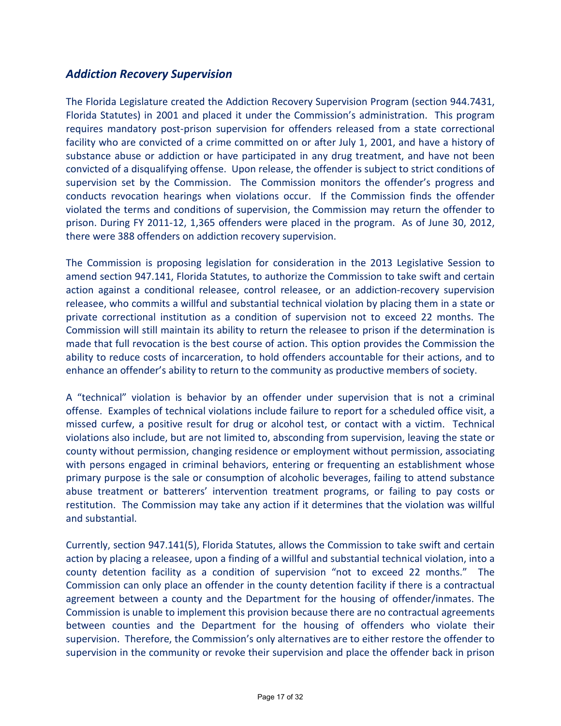#### *Addiction Recovery Supervision*

The Florida Legislature created the Addiction Recovery Supervision Program (section 944.7431, Florida Statutes) in 2001 and placed it under the Commission's administration. This program requires mandatory post-prison supervision for offenders released from a state correctional facility who are convicted of a crime committed on or after July 1, 2001, and have a history of substance abuse or addiction or have participated in any drug treatment, and have not been convicted of a disqualifying offense. Upon release, the offender is subject to strict conditions of supervision set by the Commission. The Commission monitors the offender's progress and conducts revocation hearings when violations occur. If the Commission finds the offender violated the terms and conditions of supervision, the Commission may return the offender to prison. During FY 2011-12, 1,365 offenders were placed in the program. As of June 30, 2012, there were 388 offenders on addiction recovery supervision.

The Commission is proposing legislation for consideration in the 2013 Legislative Session to amend section 947.141, Florida Statutes, to authorize the Commission to take swift and certain action against a conditional releasee, control releasee, or an addiction-recovery supervision releasee, who commits a willful and substantial technical violation by placing them in a state or private correctional institution as a condition of supervision not to exceed 22 months. The Commission will still maintain its ability to return the releasee to prison if the determination is made that full revocation is the best course of action. This option provides the Commission the ability to reduce costs of incarceration, to hold offenders accountable for their actions, and to enhance an offender's ability to return to the community as productive members of society.

A "technical" violation is behavior by an offender under supervision that is not a criminal offense. Examples of technical violations include failure to report for a scheduled office visit, a missed curfew, a positive result for drug or alcohol test, or contact with a victim. Technical violations also include, but are not limited to, absconding from supervision, leaving the state or county without permission, changing residence or employment without permission, associating with persons engaged in criminal behaviors, entering or frequenting an establishment whose primary purpose is the sale or consumption of alcoholic beverages, failing to attend substance abuse treatment or batterers' intervention treatment programs, or failing to pay costs or restitution. The Commission may take any action if it determines that the violation was willful and substantial.

Currently, section 947.141(5), Florida Statutes, allows the Commission to take swift and certain action by placing a releasee, upon a finding of a willful and substantial technical violation, into a county detention facility as a condition of supervision "not to exceed 22 months." The Commission can only place an offender in the county detention facility if there is a contractual agreement between a county and the Department for the housing of offender/inmates. The Commission is unable to implement this provision because there are no contractual agreements between counties and the Department for the housing of offenders who violate their supervision. Therefore, the Commission's only alternatives are to either restore the offender to supervision in the community or revoke their supervision and place the offender back in prison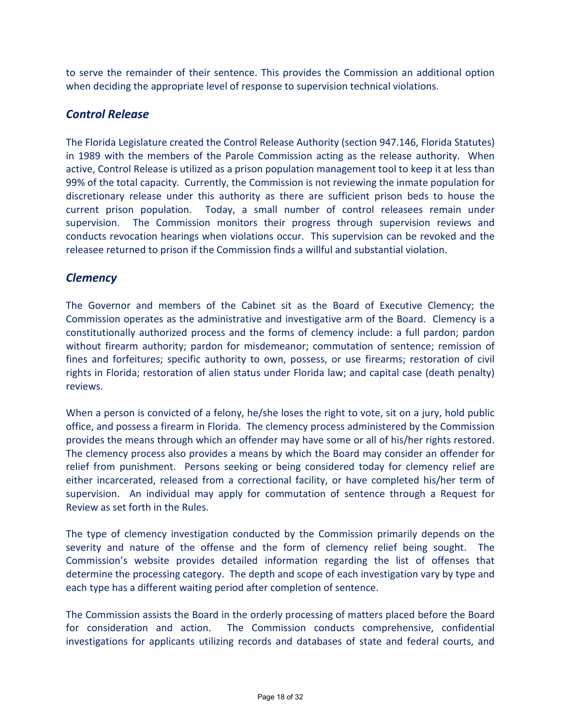to serve the remainder of their sentence. This provides the Commission an additional option when deciding the appropriate level of response to supervision technical violations.

#### *Control Release*

The Florida Legislature created the Control Release Authority (section 947.146, Florida Statutes) in 1989 with the members of the Parole Commission acting as the release authority. When active, Control Release is utilized as a prison population management tool to keep it at less than 99% of the total capacity. Currently, the Commission is not reviewing the inmate population for discretionary release under this authority as there are sufficient prison beds to house the current prison population. Today, a small number of control releasees remain under supervision. The Commission monitors their progress through supervision reviews and conducts revocation hearings when violations occur. This supervision can be revoked and the releasee returned to prison if the Commission finds a willful and substantial violation.

#### *Clemency*

The Governor and members of the Cabinet sit as the Board of Executive Clemency; the Commission operates as the administrative and investigative arm of the Board. Clemency is a constitutionally authorized process and the forms of clemency include: a full pardon; pardon without firearm authority; pardon for misdemeanor; commutation of sentence; remission of fines and forfeitures; specific authority to own, possess, or use firearms; restoration of civil rights in Florida; restoration of alien status under Florida law; and capital case (death penalty) reviews.

When a person is convicted of a felony, he/she loses the right to vote, sit on a jury, hold public office, and possess a firearm in Florida. The clemency process administered by the Commission provides the means through which an offender may have some or all of his/her rights restored. The clemency process also provides a means by which the Board may consider an offender for relief from punishment. Persons seeking or being considered today for clemency relief are either incarcerated, released from a correctional facility, or have completed his/her term of supervision. An individual may apply for commutation of sentence through a Request for Review as set forth in the Rules.

The type of clemency investigation conducted by the Commission primarily depends on the severity and nature of the offense and the form of clemency relief being sought. The Commission's website provides detailed information regarding the list of offenses that determine the processing category. The depth and scope of each investigation vary by type and each type has a different waiting period after completion of sentence.

The Commission assists the Board in the orderly processing of matters placed before the Board for consideration and action. The Commission conducts comprehensive, confidential investigations for applicants utilizing records and databases of state and federal courts, and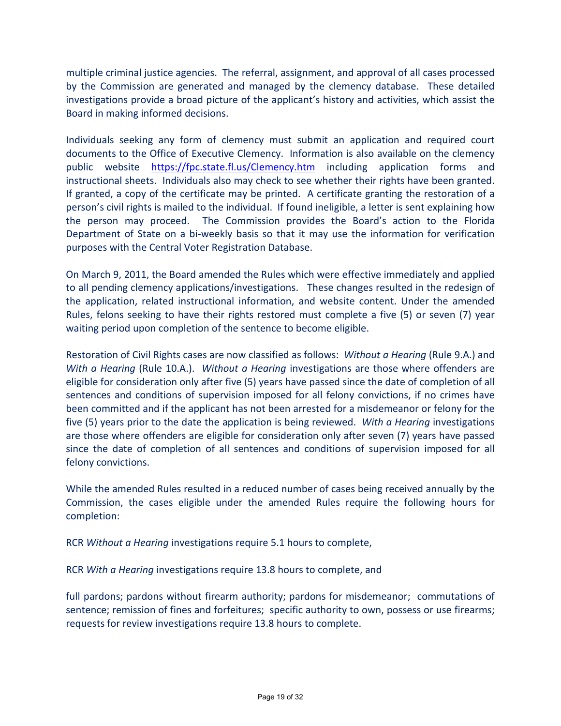multiple criminal justice agencies. The referral, assignment, and approval of all cases processed by the Commission are generated and managed by the clemency database. These detailed investigations provide a broad picture of the applicant's history and activities, which assist the Board in making informed decisions.

Individuals seeking any form of clemency must submit an application and required court documents to the Office of Executive Clemency. Information is also available on the clemency public website <https://fpc.state.fl.us/Clemency.htm> including application forms and instructional sheets. Individuals also may check to see whether their rights have been granted. If granted, a copy of the certificate may be printed. A certificate granting the restoration of a person's civil rights is mailed to the individual. If found ineligible, a letter is sent explaining how the person may proceed. The Commission provides the Board's action to the Florida Department of State on a bi-weekly basis so that it may use the information for verification purposes with the Central Voter Registration Database.

On March 9, 2011, the Board amended the Rules which were effective immediately and applied to all pending clemency applications/investigations. These changes resulted in the redesign of the application, related instructional information, and website content. Under the amended Rules, felons seeking to have their rights restored must complete a five (5) or seven (7) year waiting period upon completion of the sentence to become eligible.

Restoration of Civil Rights cases are now classified as follows: *Without a Hearing* (Rule 9.A.) and *With a Hearing* (Rule 10.A.). *Without a Hearing* investigations are those where offenders are eligible for consideration only after five (5) years have passed since the date of completion of all sentences and conditions of supervision imposed for all felony convictions, if no crimes have been committed and if the applicant has not been arrested for a misdemeanor or felony for the five (5) years prior to the date the application is being reviewed. *With a Hearing* investigations are those where offenders are eligible for consideration only after seven (7) years have passed since the date of completion of all sentences and conditions of supervision imposed for all felony convictions.

While the amended Rules resulted in a reduced number of cases being received annually by the Commission, the cases eligible under the amended Rules require the following hours for completion:

RCR *Without a Hearing* investigations require 5.1 hours to complete,

RCR *With a Hearing* investigations require 13.8 hours to complete, and

full pardons; pardons without firearm authority; pardons for misdemeanor; commutations of sentence; remission of fines and forfeitures; specific authority to own, possess or use firearms; requests for review investigations require 13.8 hours to complete.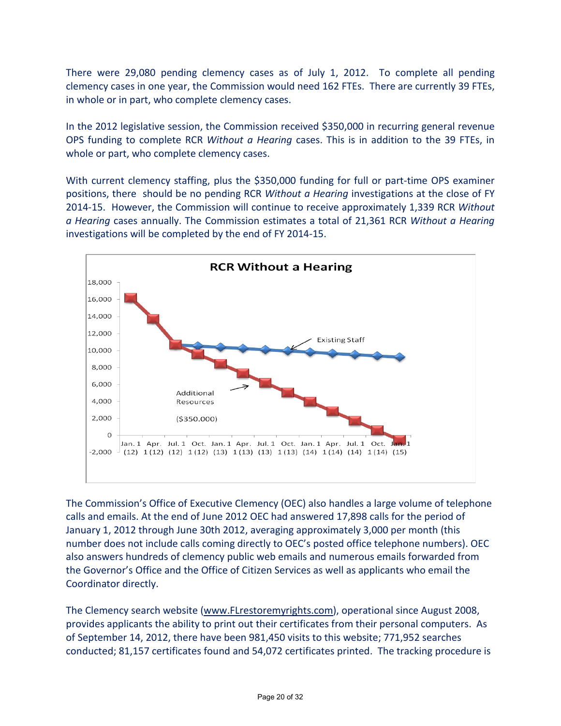There were 29,080 pending clemency cases as of July 1, 2012. To complete all pending clemency cases in one year, the Commission would need 162 FTEs. There are currently 39 FTEs, in whole or in part, who complete clemency cases.

In the 2012 legislative session, the Commission received \$350,000 in recurring general revenue OPS funding to complete RCR *Without a Hearing* cases. This is in addition to the 39 FTEs, in whole or part, who complete clemency cases.

With current clemency staffing, plus the \$350,000 funding for full or part-time OPS examiner positions, there should be no pending RCR *Without a Hearing* investigations at the close of FY 2014-15. However, the Commission will continue to receive approximately 1,339 RCR *Without a Hearing* cases annually. The Commission estimates a total of 21,361 RCR *Without a Hearing* investigations will be completed by the end of FY 2014-15.



The Commission's Office of Executive Clemency (OEC) also handles a large volume of telephone calls and emails. At the end of June 2012 OEC had answered 17,898 calls for the period of January 1, 2012 through June 30th 2012, averaging approximately 3,000 per month (this number does not include calls coming directly to OEC's posted office telephone numbers). OEC also answers hundreds of clemency public web emails and numerous emails forwarded from the Governor's Office and the Office of Citizen Services as well as applicants who email the Coordinator directly.

The Clemency search website (www.FLrestoremyrights.com), operational since August 2008, provides applicants the ability to print out their certificates from their personal computers. As of September 14, 2012, there have been 981,450 visits to this website; 771,952 searches conducted; 81,157 certificates found and 54,072 certificates printed. The tracking procedure is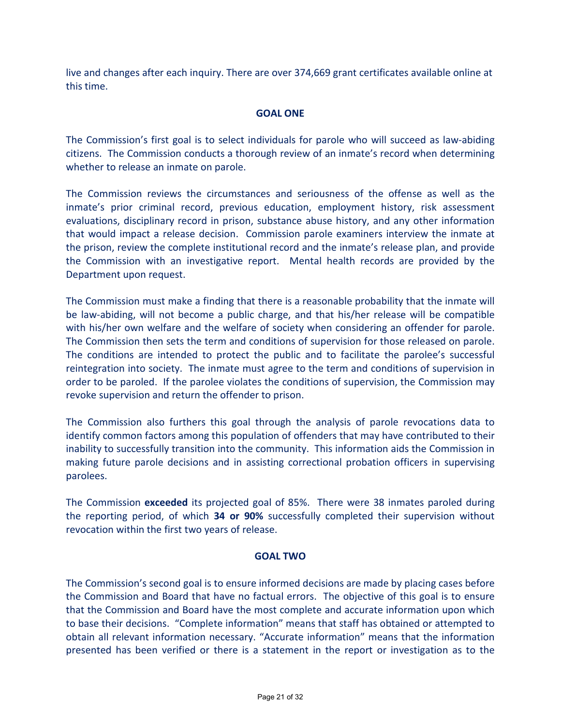live and changes after each inquiry. There are over 374,669 grant certificates available online at this time.

#### **GOAL ONE**

The Commission's first goal is to select individuals for parole who will succeed as law-abiding citizens. The Commission conducts a thorough review of an inmate's record when determining whether to release an inmate on parole.

The Commission reviews the circumstances and seriousness of the offense as well as the inmate's prior criminal record, previous education, employment history, risk assessment evaluations, disciplinary record in prison, substance abuse history, and any other information that would impact a release decision. Commission parole examiners interview the inmate at the prison, review the complete institutional record and the inmate's release plan, and provide the Commission with an investigative report. Mental health records are provided by the Department upon request.

The Commission must make a finding that there is a reasonable probability that the inmate will be law-abiding, will not become a public charge, and that his/her release will be compatible with his/her own welfare and the welfare of society when considering an offender for parole. The Commission then sets the term and conditions of supervision for those released on parole. The conditions are intended to protect the public and to facilitate the parolee's successful reintegration into society. The inmate must agree to the term and conditions of supervision in order to be paroled. If the parolee violates the conditions of supervision, the Commission may revoke supervision and return the offender to prison.

The Commission also furthers this goal through the analysis of parole revocations data to identify common factors among this population of offenders that may have contributed to their inability to successfully transition into the community. This information aids the Commission in making future parole decisions and in assisting correctional probation officers in supervising parolees.

The Commission **exceeded** its projected goal of 85%. There were 38 inmates paroled during the reporting period, of which **34 or 90%** successfully completed their supervision without revocation within the first two years of release.

#### **GOAL TWO**

The Commission's second goal is to ensure informed decisions are made by placing cases before the Commission and Board that have no factual errors. The objective of this goal is to ensure that the Commission and Board have the most complete and accurate information upon which to base their decisions. "Complete information" means that staff has obtained or attempted to obtain all relevant information necessary. "Accurate information" means that the information presented has been verified or there is a statement in the report or investigation as to the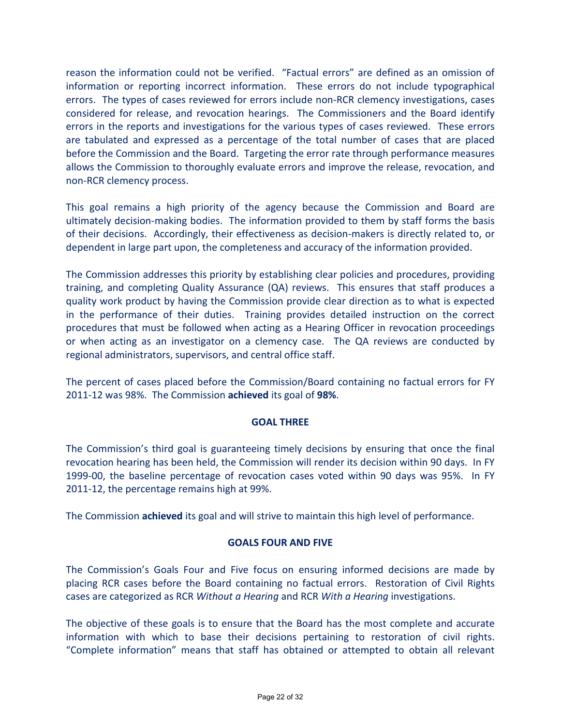reason the information could not be verified. "Factual errors" are defined as an omission of information or reporting incorrect information. These errors do not include typographical errors. The types of cases reviewed for errors include non-RCR clemency investigations, cases considered for release, and revocation hearings. The Commissioners and the Board identify errors in the reports and investigations for the various types of cases reviewed. These errors are tabulated and expressed as a percentage of the total number of cases that are placed before the Commission and the Board. Targeting the error rate through performance measures allows the Commission to thoroughly evaluate errors and improve the release, revocation, and non-RCR clemency process.

This goal remains a high priority of the agency because the Commission and Board are ultimately decision-making bodies. The information provided to them by staff forms the basis of their decisions. Accordingly, their effectiveness as decision-makers is directly related to, or dependent in large part upon, the completeness and accuracy of the information provided.

The Commission addresses this priority by establishing clear policies and procedures, providing training, and completing Quality Assurance (QA) reviews. This ensures that staff produces a quality work product by having the Commission provide clear direction as to what is expected in the performance of their duties. Training provides detailed instruction on the correct procedures that must be followed when acting as a Hearing Officer in revocation proceedings or when acting as an investigator on a clemency case. The QA reviews are conducted by regional administrators, supervisors, and central office staff.

The percent of cases placed before the Commission/Board containing no factual errors for FY 2011-12 was 98%. The Commission **achieved** its goal of **98%**.

#### **GOAL THREE**

The Commission's third goal is guaranteeing timely decisions by ensuring that once the final revocation hearing has been held, the Commission will render its decision within 90 days. In FY 1999-00, the baseline percentage of revocation cases voted within 90 days was 95%. In FY 2011-12, the percentage remains high at 99%.

The Commission **achieved** its goal and will strive to maintain this high level of performance.

#### **GOALS FOUR AND FIVE**

The Commission's Goals Four and Five focus on ensuring informed decisions are made by placing RCR cases before the Board containing no factual errors. Restoration of Civil Rights cases are categorized as RCR *Without a Hearing* and RCR *With a Hearing* investigations.

The objective of these goals is to ensure that the Board has the most complete and accurate information with which to base their decisions pertaining to restoration of civil rights. "Complete information" means that staff has obtained or attempted to obtain all relevant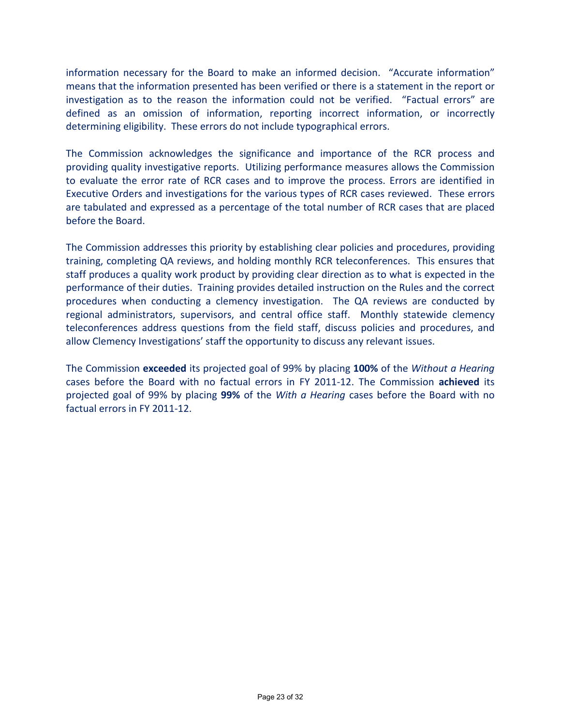information necessary for the Board to make an informed decision. "Accurate information" means that the information presented has been verified or there is a statement in the report or investigation as to the reason the information could not be verified. "Factual errors" are defined as an omission of information, reporting incorrect information, or incorrectly determining eligibility. These errors do not include typographical errors.

The Commission acknowledges the significance and importance of the RCR process and providing quality investigative reports. Utilizing performance measures allows the Commission to evaluate the error rate of RCR cases and to improve the process. Errors are identified in Executive Orders and investigations for the various types of RCR cases reviewed. These errors are tabulated and expressed as a percentage of the total number of RCR cases that are placed before the Board.

The Commission addresses this priority by establishing clear policies and procedures, providing training, completing QA reviews, and holding monthly RCR teleconferences. This ensures that staff produces a quality work product by providing clear direction as to what is expected in the performance of their duties. Training provides detailed instruction on the Rules and the correct procedures when conducting a clemency investigation. The QA reviews are conducted by regional administrators, supervisors, and central office staff. Monthly statewide clemency teleconferences address questions from the field staff, discuss policies and procedures, and allow Clemency Investigations' staff the opportunity to discuss any relevant issues.

The Commission **exceeded** its projected goal of 99% by placing **100%** of the *Without a Hearing* cases before the Board with no factual errors in FY 2011-12. The Commission **achieved** its projected goal of 99% by placing **99%** of the *With a Hearing* cases before the Board with no factual errors in FY 2011-12.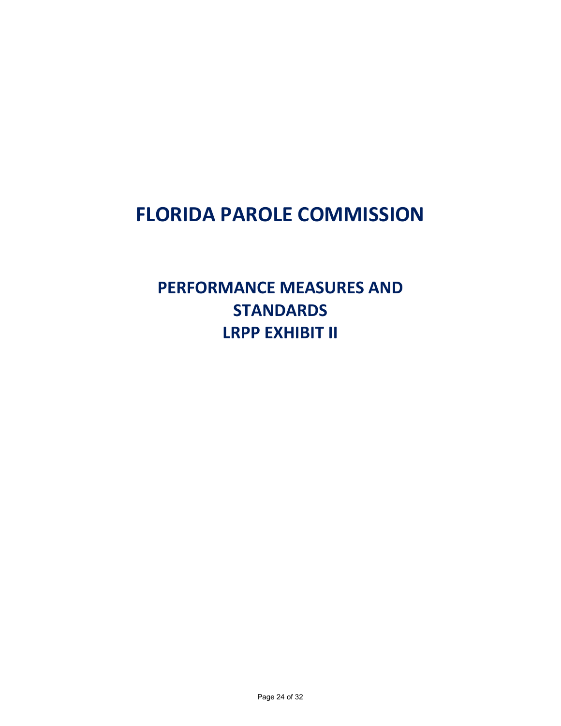### **FLORIDA PAROLE COMMISSION**

**PERFORMANCE MEASURES AND STANDARDS LRPP EXHIBIT II**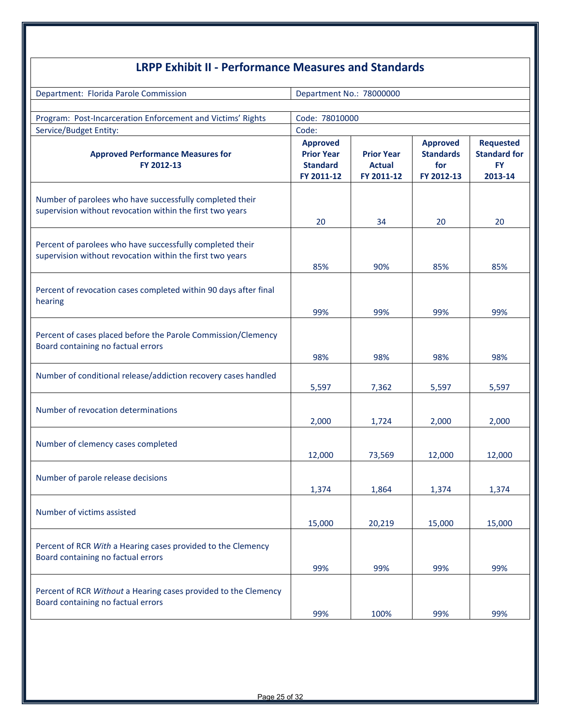| <b>LRPP Exhibit II - Performance Measures and Standards</b>                                                            |                                                                       |                                                  |                                                          |                                                                 |  |
|------------------------------------------------------------------------------------------------------------------------|-----------------------------------------------------------------------|--------------------------------------------------|----------------------------------------------------------|-----------------------------------------------------------------|--|
| Department: Florida Parole Commission                                                                                  | Department No.: 78000000                                              |                                                  |                                                          |                                                                 |  |
| Program: Post-Incarceration Enforcement and Victims' Rights<br>Service/Budget Entity:                                  | Code: 78010000<br>Code:                                               |                                                  |                                                          |                                                                 |  |
| <b>Approved Performance Measures for</b><br>FY 2012-13                                                                 | <b>Approved</b><br><b>Prior Year</b><br><b>Standard</b><br>FY 2011-12 | <b>Prior Year</b><br><b>Actual</b><br>FY 2011-12 | <b>Approved</b><br><b>Standards</b><br>for<br>FY 2012-13 | <b>Requested</b><br><b>Standard for</b><br><b>FY</b><br>2013-14 |  |
| Number of parolees who have successfully completed their<br>supervision without revocation within the first two years  | 20                                                                    | 34                                               | 20                                                       | 20                                                              |  |
| Percent of parolees who have successfully completed their<br>supervision without revocation within the first two years | 85%                                                                   | 90%                                              | 85%                                                      | 85%                                                             |  |
| Percent of revocation cases completed within 90 days after final<br>hearing                                            | 99%                                                                   | 99%                                              | 99%                                                      | 99%                                                             |  |
| Percent of cases placed before the Parole Commission/Clemency<br>Board containing no factual errors                    | 98%                                                                   | 98%                                              | 98%                                                      | 98%                                                             |  |
| Number of conditional release/addiction recovery cases handled                                                         | 5,597                                                                 | 7,362                                            | 5,597                                                    | 5,597                                                           |  |
| Number of revocation determinations                                                                                    | 2,000                                                                 | 1,724                                            | 2,000                                                    | 2,000                                                           |  |
| Number of clemency cases completed                                                                                     | 12,000                                                                | 73,569                                           | 12,000                                                   | 12,000                                                          |  |
| Number of parole release decisions                                                                                     | 1,374                                                                 | 1,864                                            | 1,374                                                    | 1,374                                                           |  |
| Number of victims assisted                                                                                             | 15,000                                                                | 20,219                                           | 15,000                                                   | 15,000                                                          |  |
| Percent of RCR With a Hearing cases provided to the Clemency<br>Board containing no factual errors                     | 99%                                                                   | 99%                                              | 99%                                                      | 99%                                                             |  |
| Percent of RCR Without a Hearing cases provided to the Clemency<br>Board containing no factual errors                  |                                                                       |                                                  |                                                          |                                                                 |  |
|                                                                                                                        | 99%                                                                   | 100%                                             | 99%                                                      | 99%                                                             |  |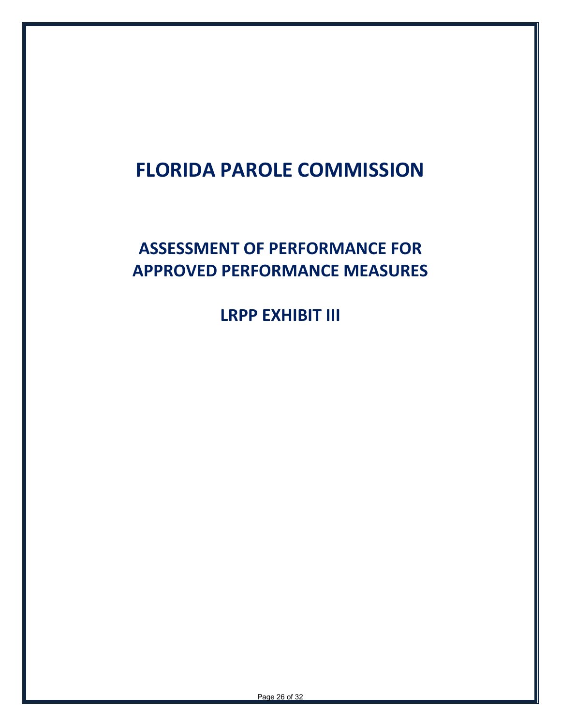# **FLORIDA PAROLE COMMISSION**

### **ASSESSMENT OF PERFORMANCE FOR APPROVED PERFORMANCE MEASURES**

**LRPP EXHIBIT III**

Page 26 of 32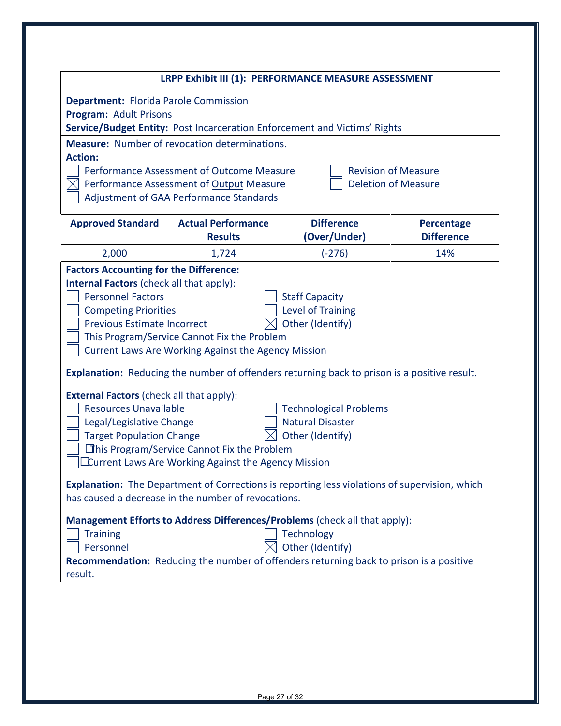|                                                                                                                      |                                                                                                                                                                                          | LRPP Exhibit III (1): PERFORMANCE MEASURE ASSESSMENT                                                                                         |                                                          |
|----------------------------------------------------------------------------------------------------------------------|------------------------------------------------------------------------------------------------------------------------------------------------------------------------------------------|----------------------------------------------------------------------------------------------------------------------------------------------|----------------------------------------------------------|
| <b>Department: Florida Parole Commission</b><br>Program: Adult Prisons                                               |                                                                                                                                                                                          | Service/Budget Entity: Post Incarceration Enforcement and Victims' Rights                                                                    |                                                          |
| <b>Action:</b>                                                                                                       | <b>Measure:</b> Number of revocation determinations.<br>Performance Assessment of Outcome Measure<br>Performance Assessment of Output Measure<br>Adjustment of GAA Performance Standards |                                                                                                                                              | <b>Revision of Measure</b><br><b>Deletion of Measure</b> |
| <b>Approved Standard</b>                                                                                             | <b>Actual Performance</b><br><b>Results</b>                                                                                                                                              | <b>Difference</b><br>(Over/Under)                                                                                                            | <b>Percentage</b><br><b>Difference</b>                   |
| 2,000                                                                                                                | 1,724                                                                                                                                                                                    | $(-276)$                                                                                                                                     | 14%                                                      |
| <b>Competing Priorities</b><br><b>Previous Estimate Incorrect</b><br><b>External Factors (check all that apply):</b> | This Program/Service Cannot Fix the Problem<br><b>Current Laws Are Working Against the Agency Mission</b>                                                                                | <b>Level of Training</b><br>Other (Identify)<br>Explanation: Reducing the number of offenders returning back to prison is a positive result. |                                                          |
| <b>Resources Unavailable</b><br>Legal/Legislative Change<br><b>Target Population Change</b>                          |                                                                                                                                                                                          | <b>Technological Problems</b><br><b>Natural Disaster</b><br>Other (Identify)                                                                 |                                                          |
| This Program/Service Cannot Fix the Problem                                                                          | Current Laws Are Working Against the Agency Mission                                                                                                                                      |                                                                                                                                              |                                                          |
|                                                                                                                      | has caused a decrease in the number of revocations.                                                                                                                                      | <b>Explanation:</b> The Department of Corrections is reporting less violations of supervision, which                                         |                                                          |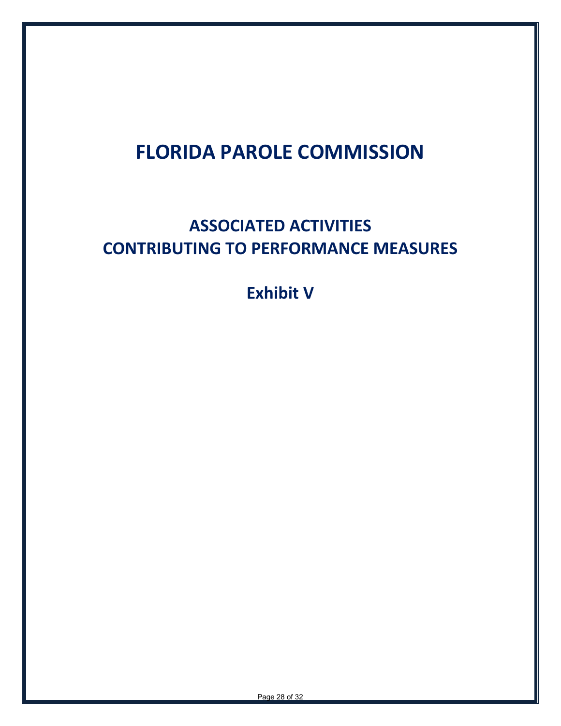# **FLORIDA PAROLE COMMISSION**

## **ASSOCIATED ACTIVITIES CONTRIBUTING TO PERFORMANCE MEASURES**

**Exhibit V**

Page 28 of 32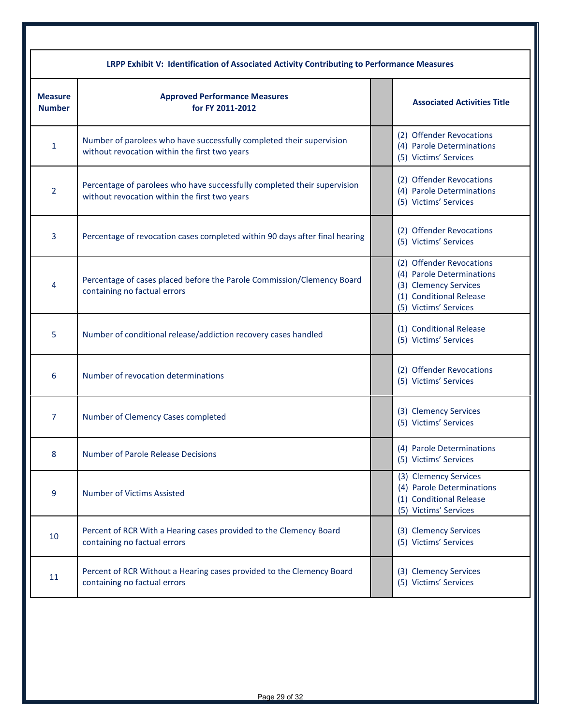|                                 | LRPP Exhibit V: Identification of Associated Activity Contributing to Performance Measures                                |  |                                                                                                                                    |  |  |  |
|---------------------------------|---------------------------------------------------------------------------------------------------------------------------|--|------------------------------------------------------------------------------------------------------------------------------------|--|--|--|
| <b>Measure</b><br><b>Number</b> | <b>Approved Performance Measures</b><br>for FY 2011-2012                                                                  |  | <b>Associated Activities Title</b>                                                                                                 |  |  |  |
| 1                               | Number of parolees who have successfully completed their supervision<br>without revocation within the first two years     |  | (2) Offender Revocations<br>(4) Parole Determinations<br>(5) Victims' Services                                                     |  |  |  |
| 2                               | Percentage of parolees who have successfully completed their supervision<br>without revocation within the first two years |  | (2) Offender Revocations<br>(4) Parole Determinations<br>(5) Victims' Services                                                     |  |  |  |
| 3                               | Percentage of revocation cases completed within 90 days after final hearing                                               |  | (2) Offender Revocations<br>(5) Victims' Services                                                                                  |  |  |  |
| 4                               | Percentage of cases placed before the Parole Commission/Clemency Board<br>containing no factual errors                    |  | (2) Offender Revocations<br>(4) Parole Determinations<br>(3) Clemency Services<br>(1) Conditional Release<br>(5) Victims' Services |  |  |  |
| 5                               | Number of conditional release/addiction recovery cases handled                                                            |  | (1) Conditional Release<br>(5) Victims' Services                                                                                   |  |  |  |
| 6                               | Number of revocation determinations                                                                                       |  | (2) Offender Revocations<br>(5) Victims' Services                                                                                  |  |  |  |
| 7                               | Number of Clemency Cases completed                                                                                        |  | (3) Clemency Services<br>(5) Victims' Services                                                                                     |  |  |  |
| 8                               | <b>Number of Parole Release Decisions</b>                                                                                 |  | (4) Parole Determinations<br>(5) Victims' Services                                                                                 |  |  |  |
| 9                               | <b>Number of Victims Assisted</b>                                                                                         |  | (3) Clemency Services<br>(4) Parole Determinations<br>(1) Conditional Release<br>(5) Victims' Services                             |  |  |  |
| 10                              | Percent of RCR With a Hearing cases provided to the Clemency Board<br>containing no factual errors                        |  | (3) Clemency Services<br>(5) Victims' Services                                                                                     |  |  |  |
| 11                              | Percent of RCR Without a Hearing cases provided to the Clemency Board<br>containing no factual errors                     |  | (3) Clemency Services<br>(5) Victims' Services                                                                                     |  |  |  |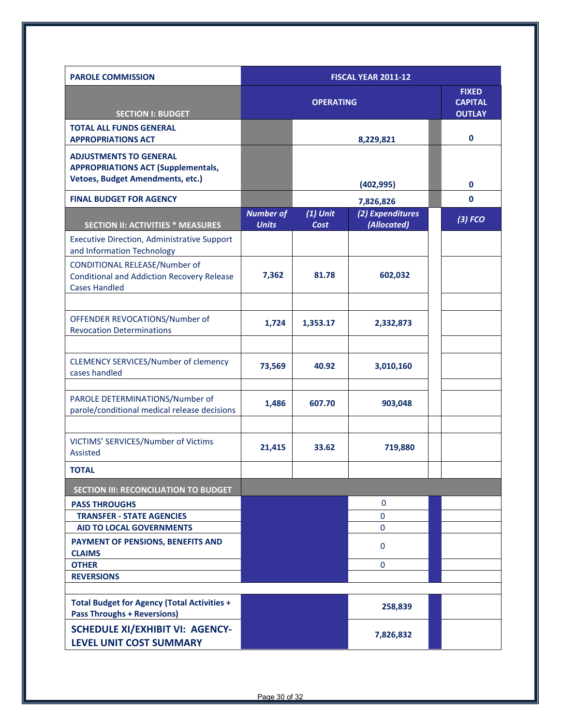| <b>PAROLE COMMISSION</b>                                                                                              | <b>FISCAL YEAR 2011-12</b>       |                    |                                 |               |
|-----------------------------------------------------------------------------------------------------------------------|----------------------------------|--------------------|---------------------------------|---------------|
|                                                                                                                       |                                  | <b>OPERATING</b>   | <b>FIXED</b><br><b>CAPITAL</b>  |               |
| <b>SECTION I: BUDGET</b>                                                                                              |                                  |                    |                                 | <b>OUTLAY</b> |
| <b>TOTAL ALL FUNDS GENERAL</b><br><b>APPROPRIATIONS ACT</b>                                                           |                                  |                    | 8,229,821                       | $\mathbf{0}$  |
| <b>ADJUSTMENTS TO GENERAL</b><br><b>APPROPRIATIONS ACT (Supplementals,</b><br><b>Vetoes, Budget Amendments, etc.)</b> |                                  |                    | (402, 995)                      | $\mathbf 0$   |
| <b>FINAL BUDGET FOR AGENCY</b>                                                                                        |                                  |                    | 7,826,826                       | $\mathbf 0$   |
| <b>SECTION II: ACTIVITIES * MEASURES</b>                                                                              | <b>Number of</b><br><b>Units</b> | $(1)$ Unit<br>Cost | (2) Expenditures<br>(Allocated) | $(3)$ FCO     |
| <b>Executive Direction, Administrative Support</b><br>and Information Technology                                      |                                  |                    |                                 |               |
| <b>CONDITIONAL RELEASE/Number of</b><br><b>Conditional and Addiction Recovery Release</b><br><b>Cases Handled</b>     | 7,362                            | 81.78              | 602,032                         |               |
| OFFENDER REVOCATIONS/Number of<br><b>Revocation Determinations</b>                                                    | 1,724                            | 1,353.17           | 2,332,873                       |               |
| <b>CLEMENCY SERVICES/Number of clemency</b><br>cases handled                                                          | 73,569                           | 40.92              | 3,010,160                       |               |
| PAROLE DETERMINATIONS/Number of<br>parole/conditional medical release decisions                                       | 1,486                            | 607.70             | 903,048                         |               |
| VICTIMS' SERVICES/Number of Victims<br><b>Assisted</b>                                                                | 21,415                           | 33.62              | 719,880                         |               |
| <b>TOTAL</b>                                                                                                          |                                  |                    |                                 |               |
| <b>SECTION III: RECONCILIATION TO BUDGET</b>                                                                          |                                  |                    |                                 |               |
| <b>PASS THROUGHS</b>                                                                                                  |                                  |                    | $\mathbf 0$                     |               |
| <b>TRANSFER - STATE AGENCIES</b><br><b>AID TO LOCAL GOVERNMENTS</b>                                                   |                                  |                    | $\mathbf{0}$<br>0               |               |
| PAYMENT OF PENSIONS, BENEFITS AND                                                                                     |                                  |                    |                                 |               |
| <b>CLAIMS</b>                                                                                                         |                                  |                    | $\mathbf{0}$                    |               |
| <b>OTHER</b>                                                                                                          |                                  |                    | $\mathbf{0}$                    |               |
| <b>REVERSIONS</b>                                                                                                     |                                  |                    |                                 |               |
| <b>Total Budget for Agency (Total Activities +</b><br><b>Pass Throughs + Reversions)</b>                              |                                  |                    | 258,839                         |               |
| <b>SCHEDULE XI/EXHIBIT VI: AGENCY-</b><br><b>LEVEL UNIT COST SUMMARY</b>                                              |                                  |                    | 7,826,832                       |               |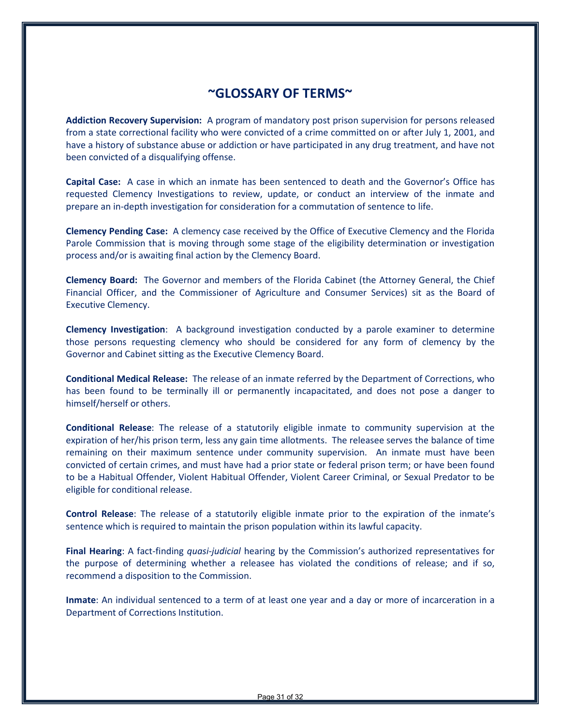#### **~GLOSSARY OF TERMS~**

**Addiction Recovery Supervision:** A program of mandatory post prison supervision for persons released from a state correctional facility who were convicted of a crime committed on or after July 1, 2001, and have a history of substance abuse or addiction or have participated in any drug treatment, and have not been convicted of a disqualifying offense.

**Capital Case:** A case in which an inmate has been sentenced to death and the Governor's Office has requested Clemency Investigations to review, update, or conduct an interview of the inmate and prepare an in-depth investigation for consideration for a commutation of sentence to life.

**Clemency Pending Case:** A clemency case received by the Office of Executive Clemency and the Florida Parole Commission that is moving through some stage of the eligibility determination or investigation process and/or is awaiting final action by the Clemency Board.

**Clemency Board:** The Governor and members of the Florida Cabinet (the Attorney General, the Chief Financial Officer, and the Commissioner of Agriculture and Consumer Services) sit as the Board of Executive Clemency.

**Clemency Investigation**: A background investigation conducted by a parole examiner to determine those persons requesting clemency who should be considered for any form of clemency by the Governor and Cabinet sitting as the Executive Clemency Board.

**Conditional Medical Release:** The release of an inmate referred by the Department of Corrections, who has been found to be terminally ill or permanently incapacitated, and does not pose a danger to himself/herself or others.

**Conditional Release**: The release of a statutorily eligible inmate to community supervision at the expiration of her/his prison term, less any gain time allotments. The releasee serves the balance of time remaining on their maximum sentence under community supervision. An inmate must have been convicted of certain crimes, and must have had a prior state or federal prison term; or have been found to be a Habitual Offender, Violent Habitual Offender, Violent Career Criminal, or Sexual Predator to be eligible for conditional release.

**Control Release**: The release of a statutorily eligible inmate prior to the expiration of the inmate's sentence which is required to maintain the prison population within its lawful capacity.

**Final Hearing**: A fact-finding *quasi-judicial* hearing by the Commission's authorized representatives for the purpose of determining whether a releasee has violated the conditions of release; and if so, recommend a disposition to the Commission.

**Inmate**: An individual sentenced to a term of at least one year and a day or more of incarceration in a Department of Corrections Institution.